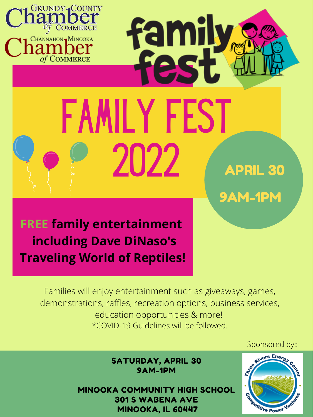SATURDAY, APRIL 30 9AM-1PM

MINOOKA COMMUNITY HIGH SCHOOL 301 S [WABENA](https://www.bing.com/maps?cp=41.450042724609375%7e-88.262939453125&name=Minooka+Community+High+School&where1=301+S+Wabena+Ave%2c+Minooka%2c+IL+60447&ppois=41.450042724609375_-88.262939453125_Minooka+Community+High+School) AVE [MINOOKA,](https://www.bing.com/maps?cp=41.450042724609375%7e-88.262939453125&name=Minooka+Community+High+School&where1=301+S+Wabena+Ave%2c+Minooka%2c+IL+60447&ppois=41.450042724609375_-88.262939453125_Minooka+Community+High+School) IL 60447





Families will enjoy entertainment such as giveaways, games, demonstrations, raffles, recreation options, business services, education opportunities & more! \*COVID-19 Guidelines will be followed.

**FREE family entertainment including Dave DiNaso's Traveling World of Reptiles!**

Sponsored by::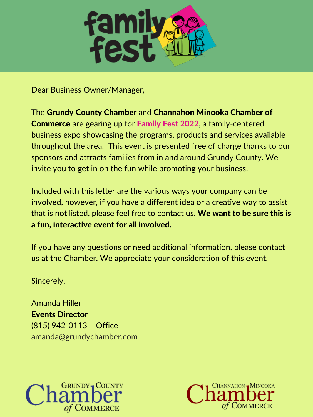

Dear Business Owner/Manager,

Included with this letter are the various ways your company can be involved, however, if you have a different idea or a creative way to assist that is not listed, please feel free to contact us. We want to be sure this is

The Grundy County Chamber and Channahon Minooka Chamber of Commerce are gearing up for Family Fest 2022, a family-centered business expo showcasing the programs, products and services available throughout the area. This event is presented free of charge thanks to our sponsors and attracts families from in and around Grundy County. We invite you to get in on the fun while promoting your business!

a fun, interactive event for all involved.

If you have any questions or need additional information, please contact us at the Chamber. We appreciate your consideration of this event.

Sincerely,

Amanda Hiller Events Director (815) 942-0113 – Office amanda@grundychamber.com



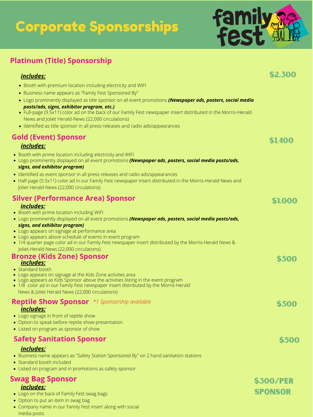# Corporate Sponsorships

- Booth with premium location including electricity and WIFI
- Business name appears as "Family Fest Sponsored By"
- Logo prominently displayed as title sponsor on all event promotions *(Newspaper ads, posters, social media posts/ads, signs, exhibitor program, etc.)*
- Full-page (9.5x11) color ad on the back of our Family Fest newspaper insert distributed in the Morris-Herald News and Joliet Herald-News (22,000 circulations)
- Identified as title sponsor in all press releases and radio ads/appearances

## **Platinum (Title) Sponsorship**

#### *includes:*

- Booth with prime location including WIFI
- Logo prominently displayed on all event promotions *(Newspaper ads, posters, social media posts/ads,*



- Logo on the back of Family Fest swag bags
- Option to put an item in swag bag
- Company name in our Family Fest insert along with social media posts
- Logo appears on signage at performance area
- Logo appears above schedule of events in event program
- 1/4 quarter page color ad in our Family Fest newspaper insert distributed by the Morris-Herald News & Joliet-Herald News (22,000 circulations)

- Standard booth
- Logo appears on signage at the Kids Zone activites area
- Logo appears as Kids Sponsor above the activities listing in the event program
- 1/8 color ad in our Family Fest newspaper insert distributed by the Morris-Herald News & Joliet Herald News (22,000 circulations)

\$300/Per **SPONSOR** 

#### *signs, and exhibitor program)*

#### *includes:* **Swag Bag Sponsor**

- Business name appears as "Safety Station Sponsored By" on 2 hand sanitation stations
- Standard booth included
- Listed on program and in promotions as safety sponsor
- Booth with prime location including electricity and WIFI
- Logo prominently displayed on all event promotions *(Newspaper ads, posters, social media posts/ads, signs, and exhibitor program)*
- Identified as event sponsor in all press releases and radio ads/appearances
- Half-page (5.5x11) color ad in our Family Fest newspaper insert distributed in the Morris-Herald News and Joliet Herald-News (22,000 circulations)

#### **Silver (Performance Area) Sponsor** *includes:*

## **Gold (Event) Sponsor**

#### *includes:*

#### **Bronze (Kids Zone) Sponsor** *includes:*

#### **Reptile Show Sponsor** *\*1 Sponsorship available includes:*

- Logo signage in front of reptile show
- Option to speak before reptile show presentation
- Listed on program as sponsor of show

## **Safety Sanitation Sponsor**

\$2,300



### \$1,000





\$500

#### *includes:*